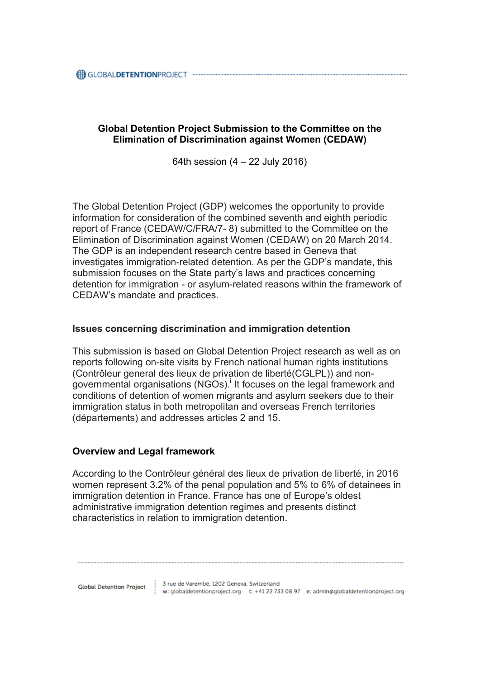## **Global Detention Project Submission to the Committee on the Elimination of Discrimination against Women (CEDAW)**

64th session (4 – 22 July 2016)

The Global Detention Project (GDP) welcomes the opportunity to provide information for consideration of the combined seventh and eighth periodic report of France (CEDAW/C/FRA/7- 8) submitted to the Committee on the Elimination of Discrimination against Women (CEDAW) on 20 March 2014. The GDP is an independent research centre based in Geneva that investigates immigration-related detention. As per the GDP's mandate, this submission focuses on the State party's laws and practices concerning detention for immigration - or asylum-related reasons within the framework of CEDAW's mandate and practices.

## **Issues concerning discrimination and immigration detention**

This submission is based on Global Detention Project research as well as on reports following on-site visits by French national human rights institutions (Contrôleur general des lieux de privation de liberté(CGLPL)) and nongovernmental organisations (NGOs). It focuses on the legal framework and conditions of detention of women migrants and asylum seekers due to their immigration status in both metropolitan and overseas French territories (départements) and addresses articles 2 and 15.

## **Overview and Legal framework**

According to the Contrôleur général des lieux de privation de liberté, in 2016 women represent 3.2% of the penal population and 5% to 6% of detainees in immigration detention in France. France has one of Europe's oldest administrative immigration detention regimes and presents distinct characteristics in relation to immigration detention.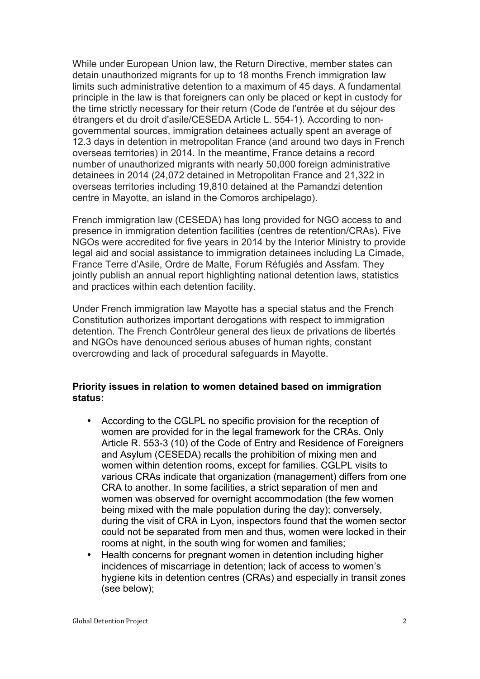While under European Union law, the Return Directive, member states can detain unauthorized migrants for up to 18 months French immigration law limits such administrative detention to a maximum of 45 days. A fundamental principle in the law is that foreigners can only be placed or kept in custody for the time strictly necessary for their return (Code de l'entrée et du séjour des étrangers et du droit d'asile/CESEDA Article L. 554-1). According to nongovernmental sources, immigration detainees actually spent an average of 12.3 days in detention in metropolitan France (and around two days in French overseas territories) in 2014. In the meantime, France detains a record number of unauthorized migrants with nearly 50,000 foreign administrative detainees in 2014 (24,072 detained in Metropolitan France and 21,322 in overseas territories including 19,810 detained at the Pamandzi detention centre in Mayotte, an island in the Comoros archipelago).

French immigration law (CESEDA) has long provided for NGO access to and presence in immigration detention facilities (centres de retention/CRAs). Five NGOs were accredited for five years in 2014 by the Interior Ministry to provide legal aid and social assistance to immigration detainees including La Cimade, France Terre d'Asile, Ordre de Malte, Forum Réfugiés and Assfam. They jointly publish an annual report highlighting national detention laws, statistics and practices within each detention facility.

Under French immigration law Mayotte has a special status and the French Constitution authorizes important derogations with respect to immigration detention. The French Contrôleur general des lieux de privations de libertés and NGOs have denounced serious abuses of human rights, constant overcrowding and lack of procedural safeguards in Mayotte.

## **Priority issues in relation to women detained based on immigration status:**

- According to the CGLPL no specific provision for the reception of women are provided for in the legal framework for the CRAs. Only Article R. 553-3 (10) of the Code of Entry and Residence of Foreigners and Asylum (CESEDA) recalls the prohibition of mixing men and women within detention rooms, except for families. CGLPL visits to various CRAs indicate that organization (management) differs from one CRA to another. In some facilities, a strict separation of men and women was observed for overnight accommodation (the few women being mixed with the male population during the day); conversely, during the visit of CRA in Lyon, inspectors found that the women sector could not be separated from men and thus, women were locked in their rooms at night, in the south wing for women and families;
- Health concerns for pregnant women in detention including higher incidences of miscarriage in detention; lack of access to women's hygiene kits in detention centres (CRAs) and especially in transit zones (see below);